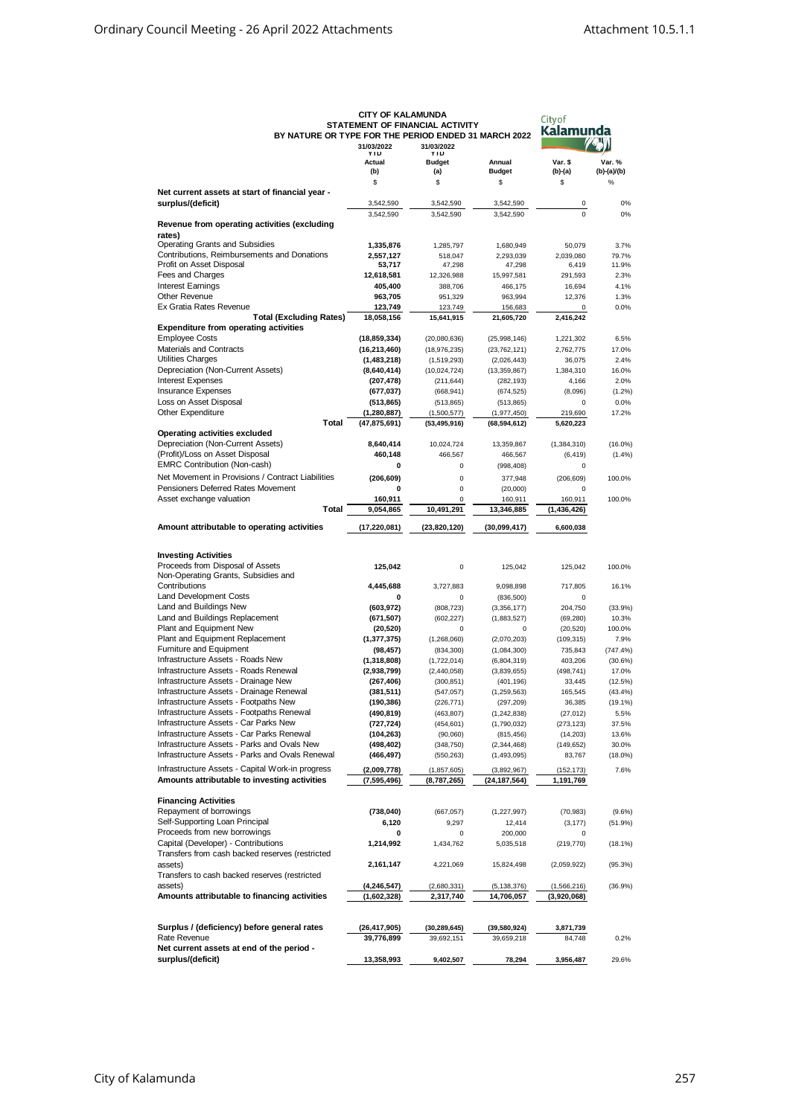| BY NATURE OR TYPE FOR THE PERIOD ENDED 31 MARCH 2022                                             | <b>CITY OF KALAMUNDA</b>     | STATEMENT OF FINANCIAL ACTIVITY | City of<br>Kalamunda            |                         |                     |
|--------------------------------------------------------------------------------------------------|------------------------------|---------------------------------|---------------------------------|-------------------------|---------------------|
|                                                                                                  | 31/03/2022<br>YID            | 31/03/2022<br>YID               |                                 |                         |                     |
|                                                                                                  | Actual                       | <b>Budget</b>                   | Annual                          | Var. \$                 | Var. %              |
|                                                                                                  | (b)                          | (a)                             | <b>Budget</b>                   | (b)-(a)                 | (b)-(a)/(b)         |
| Net current assets at start of financial year -                                                  | \$                           | \$                              | \$                              | \$                      | $\%$                |
| surplus/(deficit)                                                                                | 3,542,590                    | 3,542,590                       | 3,542,590                       | 0                       | 0%                  |
|                                                                                                  | 3,542,590                    | 3,542,590                       | 3,542,590                       | 0                       | 0%                  |
| Revenue from operating activities (excluding                                                     |                              |                                 |                                 |                         |                     |
| rates)<br><b>Operating Grants and Subsidies</b>                                                  | 1,335,876                    | 1,285,797                       | 1,680,949                       | 50,079                  | 3.7%                |
| Contributions, Reimbursements and Donations                                                      | 2,557,127                    | 518,047                         | 2,293,039                       | 2,039,080               | 79.7%               |
| Profit on Asset Disposal                                                                         | 53,717                       | 47,298                          | 47,298                          | 6,419                   | 11.9%               |
| Fees and Charges                                                                                 | 12,618,581                   | 12,326,988                      | 15,997,581                      | 291,593                 | 2.3%                |
| <b>Interest Earnings</b>                                                                         | 405,400                      | 388,706                         | 466,175                         | 16,694                  | 4.1%                |
| <b>Other Revenue</b>                                                                             | 963,705                      | 951,329                         | 963,994                         | 12,376                  | 1.3%                |
| Ex Gratia Rates Revenue<br><b>Total (Excluding Rates)</b>                                        | 123,749<br>18,058,156        | 123,749                         | 156,683<br>21,605,720           | 0                       | 0.0%                |
| <b>Expenditure from operating activities</b>                                                     |                              | 15,641,915                      |                                 | 2,416,242               |                     |
| <b>Employee Costs</b>                                                                            | (18, 859, 334)               | (20,080,636)                    | (25,998,146)                    | 1,221,302               | 6.5%                |
| Materials and Contracts                                                                          | (16, 213, 460)               | (18, 976, 235)                  | (23, 762, 121)                  | 2,762,775               | 17.0%               |
| Utilities Charges                                                                                | (1,483,218)                  | (1,519,293)                     | (2,026,443)                     | 36,075                  | 2.4%                |
| Depreciation (Non-Current Assets)                                                                | (8,640,414)                  | (10,024,724)                    | (13,359,867)                    | 1,384,310               | 16.0%               |
| <b>Interest Expenses</b>                                                                         | (207, 478)                   | (211, 644)                      | (282, 193)                      | 4,166                   | 2.0%                |
| <b>Insurance Expenses</b>                                                                        | (677, 037)                   | (668, 941)                      | (674, 525)                      | (8,096)                 | $(1.2\%)$           |
| Loss on Asset Disposal<br>Other Expenditure                                                      | (513, 865)<br>(1, 280, 887)  | (513, 865)                      | (513, 865)                      | 0                       | 0.0%<br>17.2%       |
| Total                                                                                            | (47, 875, 691)               | (1,500,577)<br>(53, 495, 916)   | (1, 977, 450)<br>(68, 594, 612) | 219,690<br>5,620,223    |                     |
| <b>Operating activities excluded</b>                                                             |                              |                                 |                                 |                         |                     |
| Depreciation (Non-Current Assets)                                                                | 8,640,414                    | 10,024,724                      | 13,359,867                      | (1,384,310)             | $(16.0\%)$          |
| (Profit)/Loss on Asset Disposal                                                                  | 460.148                      | 466,567                         | 466,567                         | (6, 419)                | (1.4%)              |
| <b>EMRC Contribution (Non-cash)</b>                                                              | 0                            | $\mathbf 0$                     | (998, 408)                      | 0                       |                     |
| Net Movement in Provisions / Contract Liabilities                                                | (206, 609)                   | 0                               | 377,948                         | (206, 609)              | 100.0%              |
| Pensioners Deferred Rates Movement                                                               | 0                            | $\mathbf 0$                     | (20,000)                        | 0                       |                     |
| Asset exchange valuation                                                                         | 160,911                      | $\mathbf 0$                     | 160,911                         | 160,911                 | 100.0%              |
| Total                                                                                            | 9,054,865                    | 10,491,291                      | 13,346,885                      | (1, 436, 426)           |                     |
| Amount attributable to operating activities                                                      | (17,220,081)                 | (23, 820, 120)                  | (30,099,417)                    | 6,600,038               |                     |
|                                                                                                  |                              |                                 |                                 |                         |                     |
| <b>Investing Activities</b>                                                                      |                              |                                 |                                 |                         |                     |
| Proceeds from Disposal of Assets                                                                 | 125,042                      | $\mathbf 0$                     | 125,042                         | 125,042                 | 100.0%              |
| Non-Operating Grants, Subsidies and                                                              |                              |                                 |                                 |                         |                     |
| Contributions                                                                                    | 4,445,688                    | 3,727,883                       | 9,098,898                       | 717,805                 | 16.1%               |
| <b>Land Development Costs</b>                                                                    | 0                            | $\mathbf 0$                     | (836, 500)                      | 0                       |                     |
| Land and Buildings New                                                                           | (603, 972)                   | (808, 723)                      | (3,356,177)                     | 204,750                 | (33.9%)             |
| Land and Buildings Replacement                                                                   | (671, 507)                   | (602, 227)                      | (1,883,527)                     | (69, 280)               | 10.3%               |
| Plant and Equipment New<br>Plant and Equipment Replacement                                       | (20, 520)                    | $\mathbf 0$                     | $\mathbf 0$                     | (20, 520)               | 100.0%<br>7.9%      |
| <b>Furniture and Equipment</b>                                                                   | (1, 377, 375)<br>(98, 457)   | (1,268,060)<br>(834, 300)       | (2,070,203)<br>(1,084,300)      | (109, 315)<br>735,843   | (747.4%)            |
| Infrastructure Assets - Roads New                                                                | (1,318,808)                  | (1,722,014)                     | (6,804,319)                     | 403,206                 | (30.6%)             |
| Infrastructure Assets - Roads Renewal                                                            | (2,938,799)                  | (2,440,058)                     | (3,839,655)                     | (498, 741)              | 17.0%               |
| Infrastructure Assets - Drainage New                                                             | (267, 406)                   | (300, 851)                      | (401, 196)                      | 33,445                  | (12.5%)             |
| Infrastructure Assets - Drainage Renewal                                                         | (381, 511)                   | (547, 057)                      | (1, 259, 563)                   | 165,545                 | (43.4%)             |
| Infrastructure Assets - Footpaths New                                                            | (190, 386)                   | (226, 771)                      | (297, 209)                      | 36,385                  | $(19.1\%)$          |
| Infrastructure Assets - Footpaths Renewal                                                        | (490,819)                    | (463, 807)                      | (1, 242, 838)                   | (27, 012)               | 5.5%                |
| Infrastructure Assets - Car Parks New                                                            | (727, 724)                   | (454, 601)                      | (1,790,032)                     | (273, 123)              | 37.5%               |
| Infrastructure Assets - Car Parks Renewal<br>Infrastructure Assets - Parks and Ovals New         | (104, 263)                   | (90,060)                        | (815, 456)                      | (14, 203)               | 13.6%               |
| Infrastructure Assets - Parks and Ovals Renewal                                                  | (498,402)<br>(466,497)       | (348, 750)<br>(550, 263)        | (2, 344, 468)<br>(1,493,095)    | (149, 652)<br>83,767    | 30.0%<br>$(18.0\%)$ |
|                                                                                                  |                              |                                 |                                 |                         |                     |
| Infrastructure Assets - Capital Work-in progress<br>Amounts attributable to investing activities | (2,009,778)<br>(7, 595, 496) | (1, 857, 605)<br>(8,787,265)    | (3,892,967)<br>(24,187,564)     | (152, 173)<br>1,191,769 | 7.6%                |
|                                                                                                  |                              |                                 |                                 |                         |                     |
| <b>Financing Activities</b>                                                                      |                              |                                 |                                 |                         |                     |
| Repayment of borrowings                                                                          | (738, 040)                   | (667, 057)                      | (1, 227, 997)                   | (70, 983)               | (9.6%)              |
| Self-Supporting Loan Principal                                                                   | 6,120                        | 9,297                           | 12,414                          | (3, 177)                | (51.9%)             |
| Proceeds from new borrowings                                                                     | 0                            | 0                               | 200,000                         | 0                       |                     |
| Capital (Developer) - Contributions                                                              | 1,214,992                    | 1,434,762                       | 5,035,518                       | (219, 770)              | (18.1%)             |
| Transfers from cash backed reserves (restricted                                                  |                              |                                 |                                 |                         |                     |
| assets)<br>Transfers to cash backed reserves (restricted                                         | 2,161,147                    | 4,221,069                       | 15,824,498                      | (2,059,922)             | (95.3%)             |
| assets)                                                                                          | (4,246,547)                  | (2,680,331)                     | (5, 138, 376)                   | (1,566,216)             | (36.9%)             |
| Amounts attributable to financing activities                                                     | (1,602,328)                  | 2,317,740                       | 14,706,057                      | (3,920,068)             |                     |
|                                                                                                  |                              |                                 |                                 |                         |                     |
|                                                                                                  |                              |                                 |                                 |                         |                     |
| Surplus / (deficiency) before general rates                                                      | (26,417,905)                 | (30, 289, 645)                  | (39, 580, 924)                  | 3,871,739               |                     |
| Rate Revenue                                                                                     | 39,776,899                   | 39,692,151                      | 39,659,218                      | 84,748                  | 0.2%                |
| Net current assets at end of the period -                                                        |                              |                                 |                                 |                         |                     |
| surplus/(deficit)                                                                                | 13,358,993                   | 9,402,507                       | 78,294                          | 3,956,487               | 29.6%               |